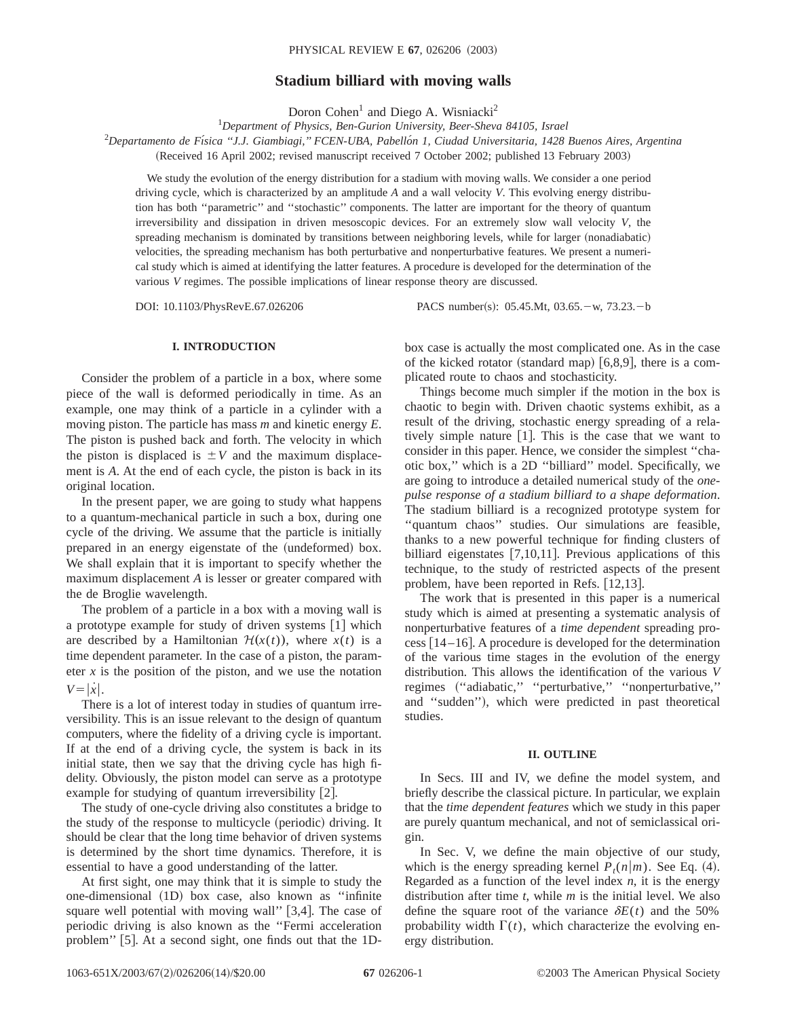# **Stadium billiard with moving walls**

Doron Cohen<sup>1</sup> and Diego A. Wisniacki<sup>2</sup>

1 *Department of Physics, Ben-Gurion University, Beer-Sheva 84105, Israel*

2 *Departamento de Fı´sica ''J.J. Giambiagi,'' FCEN-UBA, Pabello´n 1, Ciudad Universitaria, 1428 Buenos Aires, Argentina*

(Received 16 April 2002; revised manuscript received 7 October 2002; published 13 February 2003)

We study the evolution of the energy distribution for a stadium with moving walls. We consider a one period driving cycle, which is characterized by an amplitude *A* and a wall velocity *V*. This evolving energy distribution has both ''parametric'' and ''stochastic'' components. The latter are important for the theory of quantum irreversibility and dissipation in driven mesoscopic devices. For an extremely slow wall velocity *V*, the spreading mechanism is dominated by transitions between neighboring levels, while for larger (nonadiabatic) velocities, the spreading mechanism has both perturbative and nonperturbative features. We present a numerical study which is aimed at identifying the latter features. A procedure is developed for the determination of the various *V* regimes. The possible implications of linear response theory are discussed.

DOI: 10.1103/PhysRevE.67.026206 PACS number(s): 05.45.Mt, 03.65. - w, 73.23. - b

# **I. INTRODUCTION**

Consider the problem of a particle in a box, where some piece of the wall is deformed periodically in time. As an example, one may think of a particle in a cylinder with a moving piston. The particle has mass *m* and kinetic energy *E*. The piston is pushed back and forth. The velocity in which the piston is displaced is  $\pm V$  and the maximum displacement is *A*. At the end of each cycle, the piston is back in its original location.

In the present paper, we are going to study what happens to a quantum-mechanical particle in such a box, during one cycle of the driving. We assume that the particle is initially prepared in an energy eigenstate of the (undeformed) box. We shall explain that it is important to specify whether the maximum displacement *A* is lesser or greater compared with the de Broglie wavelength.

The problem of a particle in a box with a moving wall is a prototype example for study of driven systems  $[1]$  which are described by a Hamiltonian  $H(x(t))$ , where  $x(t)$  is a time dependent parameter. In the case of a piston, the parameter  $x$  is the position of the piston, and we use the notation  $V = |\dot{x}|$ .

There is a lot of interest today in studies of quantum irreversibility. This is an issue relevant to the design of quantum computers, where the fidelity of a driving cycle is important. If at the end of a driving cycle, the system is back in its initial state, then we say that the driving cycle has high fidelity. Obviously, the piston model can serve as a prototype example for studying of quantum irreversibility  $[2]$ .

The study of one-cycle driving also constitutes a bridge to the study of the response to multicycle (periodic) driving. It should be clear that the long time behavior of driven systems is determined by the short time dynamics. Therefore, it is essential to have a good understanding of the latter.

At first sight, one may think that it is simple to study the one-dimensional (1D) box case, also known as "infinite square well potential with moving wall"  $[3,4]$ . The case of periodic driving is also known as the ''Fermi acceleration problem" [5]. At a second sight, one finds out that the 1D-

box case is actually the most complicated one. As in the case of the kicked rotator (standard map)  $[6,8,9]$ , there is a complicated route to chaos and stochasticity.

Things become much simpler if the motion in the box is chaotic to begin with. Driven chaotic systems exhibit, as a result of the driving, stochastic energy spreading of a relatively simple nature  $[1]$ . This is the case that we want to consider in this paper. Hence, we consider the simplest ''chaotic box,'' which is a 2D ''billiard'' model. Specifically, we are going to introduce a detailed numerical study of the *onepulse response of a stadium billiard to a shape deformation*. The stadium billiard is a recognized prototype system for ''quantum chaos'' studies. Our simulations are feasible, thanks to a new powerful technique for finding clusters of billiard eigenstates  $[7,10,11]$ . Previous applications of this technique, to the study of restricted aspects of the present problem, have been reported in Refs.  $[12,13]$ .

The work that is presented in this paper is a numerical study which is aimed at presenting a systematic analysis of nonperturbative features of a *time dependent* spreading process  $[14–16]$ . A procedure is developed for the determination of the various time stages in the evolution of the energy distribution. This allows the identification of the various *V* regimes ("adiabatic," "perturbative," "nonperturbative," and "sudden"), which were predicted in past theoretical studies.

# **II. OUTLINE**

In Secs. III and IV, we define the model system, and briefly describe the classical picture. In particular, we explain that the *time dependent features* which we study in this paper are purely quantum mechanical, and not of semiclassical origin.

In Sec. V, we define the main objective of our study, which is the energy spreading kernel  $P_t(n|m)$ . See Eq. (4). Regarded as a function of the level index *n*, it is the energy distribution after time *t*, while *m* is the initial level. We also define the square root of the variance  $\delta E(t)$  and the 50% probability width  $\Gamma(t)$ , which characterize the evolving energy distribution.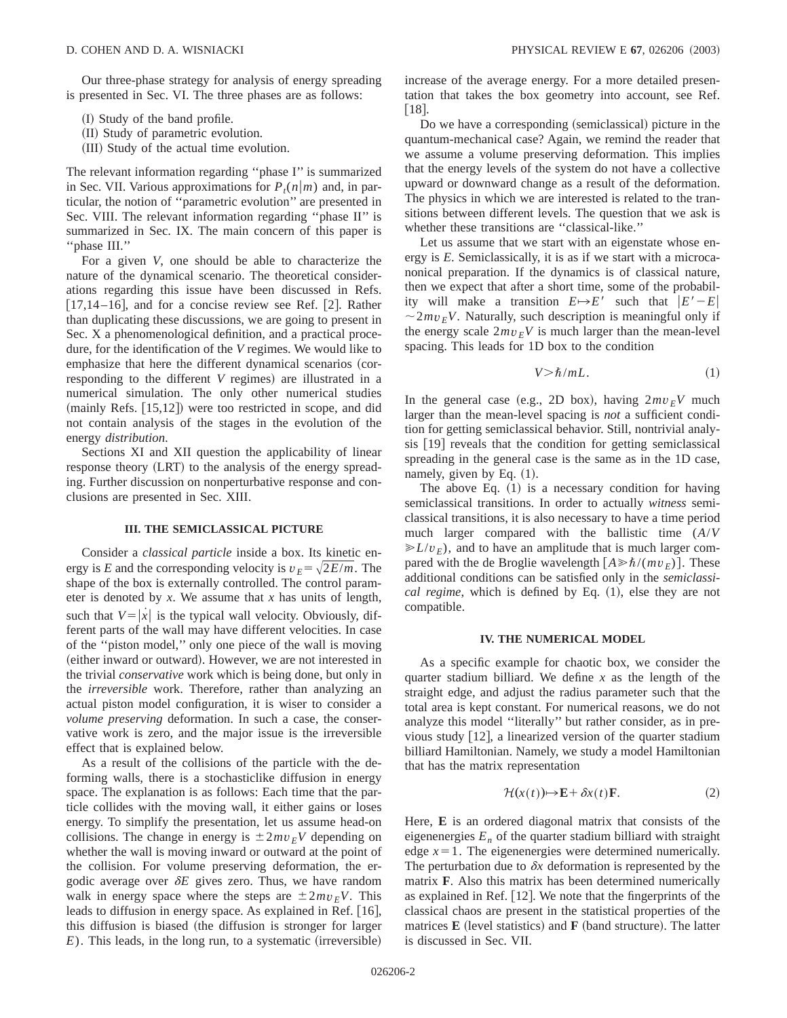Our three-phase strategy for analysis of energy spreading is presented in Sec. VI. The three phases are as follows:

(I) Study of the band profile.

- (II) Study of parametric evolution.
- (III) Study of the actual time evolution.

The relevant information regarding ''phase I'' is summarized in Sec. VII. Various approximations for  $P_t(n|m)$  and, in particular, the notion of ''parametric evolution'' are presented in Sec. VIII. The relevant information regarding ''phase II'' is summarized in Sec. IX. The main concern of this paper is ''phase III.''

For a given *V*, one should be able to characterize the nature of the dynamical scenario. The theoretical considerations regarding this issue have been discussed in Refs. [17,14–16], and for a concise review see Ref. [2]. Rather than duplicating these discussions, we are going to present in Sec. X a phenomenological definition, and a practical procedure, for the identification of the *V* regimes. We would like to emphasize that here the different dynamical scenarios (corresponding to the different *V* regimes) are illustrated in a numerical simulation. The only other numerical studies  $({\text{mainly Refs. [15,12]}})$  were too restricted in scope, and did not contain analysis of the stages in the evolution of the energy *distribution*.

Sections XI and XII question the applicability of linear response theory (LRT) to the analysis of the energy spreading. Further discussion on nonperturbative response and conclusions are presented in Sec. XIII.

### **III. THE SEMICLASSICAL PICTURE**

Consider a *classical particle* inside a box. Its kinetic energy is *E* and the corresponding velocity is  $v_E = \sqrt{2E/m}$ . The shape of the box is externally controlled. The control parameter is denoted by *x*. We assume that *x* has units of length, such that  $V = |\dot{x}|$  is the typical wall velocity. Obviously, different parts of the wall may have different velocities. In case of the ''piston model,'' only one piece of the wall is moving (either inward or outward). However, we are not interested in the trivial *conservative* work which is being done, but only in the *irreversible* work. Therefore, rather than analyzing an actual piston model configuration, it is wiser to consider a *volume preserving* deformation. In such a case, the conservative work is zero, and the major issue is the irreversible effect that is explained below.

As a result of the collisions of the particle with the deforming walls, there is a stochasticlike diffusion in energy space. The explanation is as follows: Each time that the particle collides with the moving wall, it either gains or loses energy. To simplify the presentation, let us assume head-on collisions. The change in energy is  $\pm 2mv_FV$  depending on whether the wall is moving inward or outward at the point of the collision. For volume preserving deformation, the ergodic average over  $\delta E$  gives zero. Thus, we have random walk in energy space where the steps are  $\pm 2mv_FV$ . This leads to diffusion in energy space. As explained in Ref.  $[16]$ , this diffusion is biased (the diffusion is stronger for larger  $E$ ). This leads, in the long run, to a systematic (irreversible) increase of the average energy. For a more detailed presentation that takes the box geometry into account, see Ref.  $|18|$ .

Do we have a corresponding (semiclassical) picture in the quantum-mechanical case? Again, we remind the reader that we assume a volume preserving deformation. This implies that the energy levels of the system do not have a collective upward or downward change as a result of the deformation. The physics in which we are interested is related to the transitions between different levels. The question that we ask is whether these transitions are ''classical-like.''

Let us assume that we start with an eigenstate whose energy is *E*. Semiclassically, it is as if we start with a microcanonical preparation. If the dynamics is of classical nature, then we expect that after a short time, some of the probability will make a transition  $E \rightarrow E'$  such that  $|E'-E|$  $\sim 2mv_F V$ . Naturally, such description is meaningful only if the energy scale  $2mv_F V$  is much larger than the mean-level spacing. This leads for 1D box to the condition

$$
V > \hbar / mL. \tag{1}
$$

In the general case (e.g., 2D box), having  $2mv_EV$  much larger than the mean-level spacing is *not* a sufficient condition for getting semiclassical behavior. Still, nontrivial analysis  $[19]$  reveals that the condition for getting semiclassical spreading in the general case is the same as in the 1D case, namely, given by Eq.  $(1)$ .

The above Eq.  $(1)$  is a necessary condition for having semiclassical transitions. In order to actually *witness* semiclassical transitions, it is also necessary to have a time period much larger compared with the ballistic time (*A*/*V*  $\gg L/v_F$ , and to have an amplitude that is much larger compared with the de Broglie wavelength  $[A \gg \hbar/(mv_F)]$ . These additional conditions can be satisfied only in the *semiclassical regime*, which is defined by Eq. (1), else they are not compatible.

### **IV. THE NUMERICAL MODEL**

As a specific example for chaotic box, we consider the quarter stadium billiard. We define *x* as the length of the straight edge, and adjust the radius parameter such that the total area is kept constant. For numerical reasons, we do not analyze this model ''literally'' but rather consider, as in previous study  $[12]$ , a linearized version of the quarter stadium billiard Hamiltonian. Namely, we study a model Hamiltonian that has the matrix representation

$$
\mathcal{H}(x(t)) \mapsto \mathbf{E} + \delta x(t) \mathbf{F}.
$$
 (2)

Here, **E** is an ordered diagonal matrix that consists of the eigenenergies  $E_n$  of the quarter stadium billiard with straight edge  $x=1$ . The eigenenergies were determined numerically. The perturbation due to  $\delta x$  deformation is represented by the matrix **F**. Also this matrix has been determined numerically as explained in Ref.  $[12]$ . We note that the fingerprints of the classical chaos are present in the statistical properties of the matrices  $\bf{E}$  (level statistics) and  $\bf{F}$  (band structure). The latter is discussed in Sec. VII.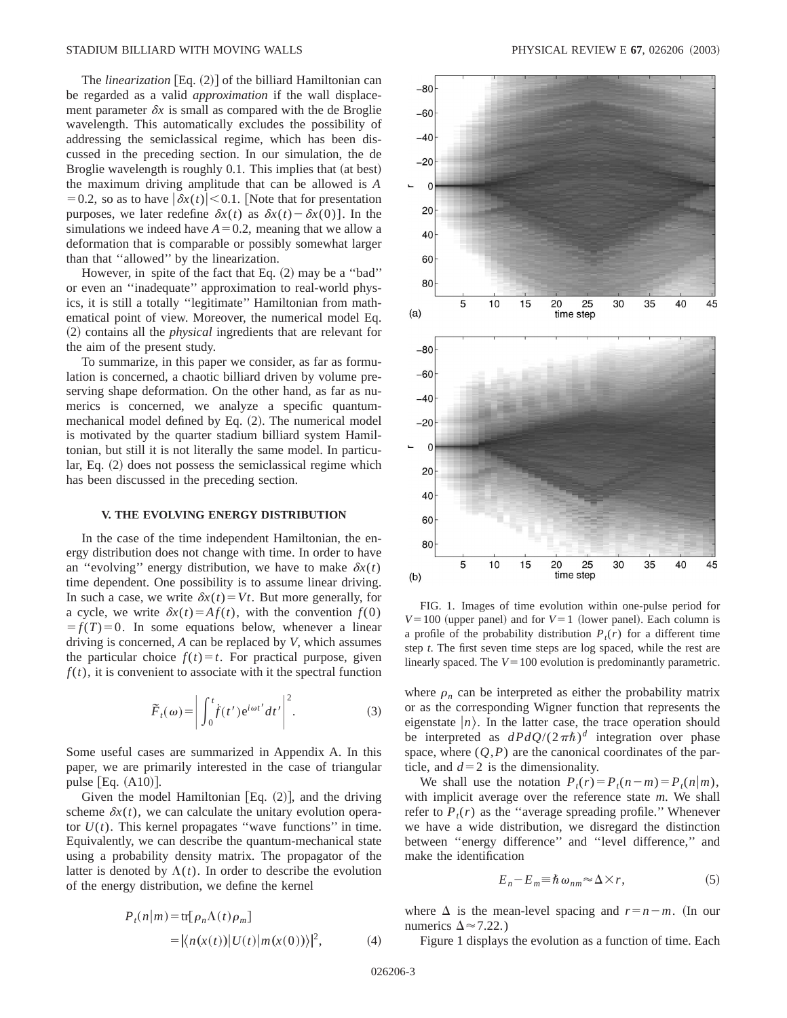The *linearization*  $[Eq. (2)]$  of the billiard Hamiltonian can be regarded as a valid *approximation* if the wall displacement parameter  $\delta x$  is small as compared with the de Broglie wavelength. This automatically excludes the possibility of addressing the semiclassical regime, which has been discussed in the preceding section. In our simulation, the de Broglie wavelength is roughly  $0.1$ . This implies that (at best) the maximum driving amplitude that can be allowed is *A* = 0.2, so as to have  $|\delta x(t)|$  < 0.1. [Note that for presentation purposes, we later redefine  $\delta x(t)$  as  $\delta x(t) - \delta x(0)$ . In the simulations we indeed have  $A=0.2$ , meaning that we allow a deformation that is comparable or possibly somewhat larger than that ''allowed'' by the linearization.

However, in spite of the fact that Eq.  $(2)$  may be a "bad" or even an ''inadequate'' approximation to real-world physics, it is still a totally ''legitimate'' Hamiltonian from mathematical point of view. Moreover, the numerical model Eq. ~2! contains all the *physical* ingredients that are relevant for the aim of the present study.

To summarize, in this paper we consider, as far as formulation is concerned, a chaotic billiard driven by volume preserving shape deformation. On the other hand, as far as numerics is concerned, we analyze a specific quantummechanical model defined by Eq.  $(2)$ . The numerical model is motivated by the quarter stadium billiard system Hamiltonian, but still it is not literally the same model. In particular, Eq.  $(2)$  does not possess the semiclassical regime which has been discussed in the preceding section.

### **V. THE EVOLVING ENERGY DISTRIBUTION**

In the case of the time independent Hamiltonian, the energy distribution does not change with time. In order to have an "evolving" energy distribution, we have to make  $\delta x(t)$ time dependent. One possibility is to assume linear driving. In such a case, we write  $\delta x(t) = Vt$ . But more generally, for a cycle, we write  $\delta x(t) = Af(t)$ , with the convention  $f(0)$  $f(T)=0$ . In some equations below, whenever a linear driving is concerned, *A* can be replaced by *V*, which assumes the particular choice  $f(t) = t$ . For practical purpose, given  $f(t)$ , it is convenient to associate with it the spectral function

$$
\widetilde{F}_t(\omega) = \left| \int_0^t f(t') e^{i\omega t'} dt' \right|^2.
$$
 (3)

Some useful cases are summarized in Appendix A. In this paper, we are primarily interested in the case of triangular pulse  $[Eq. (A10)].$ 

Given the model Hamiltonian [Eq.  $(2)$ ], and the driving scheme  $\delta x(t)$ , we can calculate the unitary evolution operator  $U(t)$ . This kernel propagates "wave functions" in time. Equivalently, we can describe the quantum-mechanical state using a probability density matrix. The propagator of the latter is denoted by  $\Lambda(t)$ . In order to describe the evolution of the energy distribution, we define the kernel

$$
P_t(n|m) = \text{tr}[\rho_n \Lambda(t)\rho_m]
$$
  
=  $|\langle n(x(t))|U(t)|m(x(0))\rangle|^2$ , (4)



FIG. 1. Images of time evolution within one-pulse period for  $V=100$  (upper panel) and for  $V=1$  (lower panel). Each column is a profile of the probability distribution  $P_t(r)$  for a different time step *t*. The first seven time steps are log spaced, while the rest are linearly spaced. The  $V = 100$  evolution is predominantly parametric.

where  $\rho_n$  can be interpreted as either the probability matrix or as the corresponding Wigner function that represents the eigenstate  $|n\rangle$ . In the latter case, the trace operation should be interpreted as  $dPdQ/(2\pi\hbar)^d$  integration over phase space, where  $(Q, P)$  are the canonical coordinates of the particle, and  $d=2$  is the dimensionality.

We shall use the notation  $P_t(r) = P_t(n-m) = P_t(n|m)$ , with implicit average over the reference state *m*. We shall refer to  $P_t(r)$  as the "average spreading profile." Whenever we have a wide distribution, we disregard the distinction between ''energy difference'' and ''level difference,'' and make the identification

$$
E_n - E_m \equiv \hbar \,\omega_{nm} \approx \Delta \times r,\tag{5}
$$

where  $\Delta$  is the mean-level spacing and  $r=n-m$ . (In our numerics  $\Delta \approx 7.22$ .)

Figure 1 displays the evolution as a function of time. Each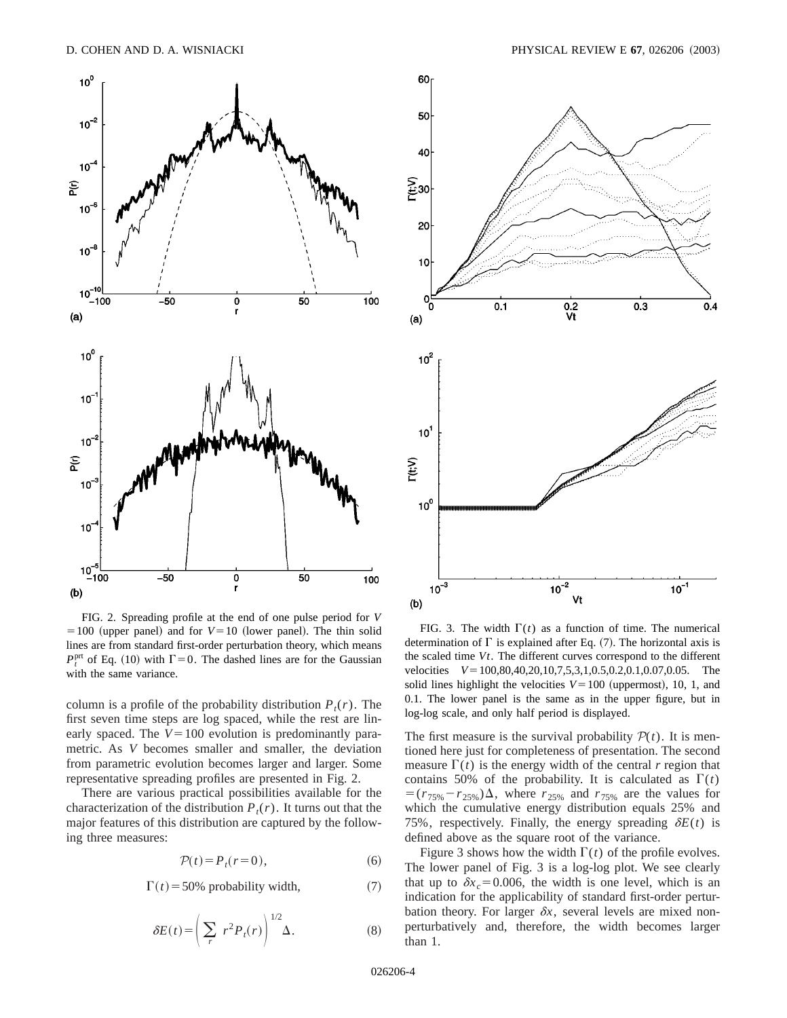

FIG. 2. Spreading profile at the end of one pulse period for *V*  $=100$  (upper panel) and for  $V=10$  (lower panel). The thin solid lines are from standard first-order perturbation theory, which means  $P_t^{\text{prt}}$  of Eq. (10) with  $\Gamma = 0$ . The dashed lines are for the Gaussian with the same variance.

column is a profile of the probability distribution  $P_t(r)$ . The first seven time steps are log spaced, while the rest are linearly spaced. The  $V = 100$  evolution is predominantly parametric. As *V* becomes smaller and smaller, the deviation from parametric evolution becomes larger and larger. Some representative spreading profiles are presented in Fig. 2.

There are various practical possibilities available for the characterization of the distribution  $P_t(r)$ . It turns out that the major features of this distribution are captured by the following three measures:

$$
\mathcal{P}(t) = P_t(r=0),\tag{6}
$$

$$
\Gamma(t) = 50\% \text{ probability width},\tag{7}
$$

$$
\delta E(t) = \left(\sum_{r} r^2 P_t(r)\right)^{1/2} \Delta. \tag{8}
$$



FIG. 3. The width  $\Gamma(t)$  as a function of time. The numerical determination of  $\Gamma$  is explained after Eq. (7). The horizontal axis is the scaled time *Vt*. The different curves correspond to the different velocities  $V=100,80,40,20,10,7,5,3,1,0.5,0.2,0.1,0.07,0.05$ . The solid lines highlight the velocities  $V = 100$  (uppermost), 10, 1, and 0.1. The lower panel is the same as in the upper figure, but in log-log scale, and only half period is displayed.

The first measure is the survival probability  $P(t)$ . It is mentioned here just for completeness of presentation. The second measure  $\Gamma(t)$  is the energy width of the central *r* region that contains 50% of the probability. It is calculated as  $\Gamma(t)$  $= (r_{75\%} - r_{25\%})\Delta$ , where  $r_{25\%}$  and  $r_{75\%}$  are the values for which the cumulative energy distribution equals 25% and 75%, respectively. Finally, the energy spreading  $\delta E(t)$  is defined above as the square root of the variance.

Figure 3 shows how the width  $\Gamma(t)$  of the profile evolves. The lower panel of Fig. 3 is a log-log plot. We see clearly that up to  $\delta x_c = 0.006$ , the width is one level, which is an indication for the applicability of standard first-order perturbation theory. For larger  $\delta x$ , several levels are mixed nonperturbatively and, therefore, the width becomes larger than 1.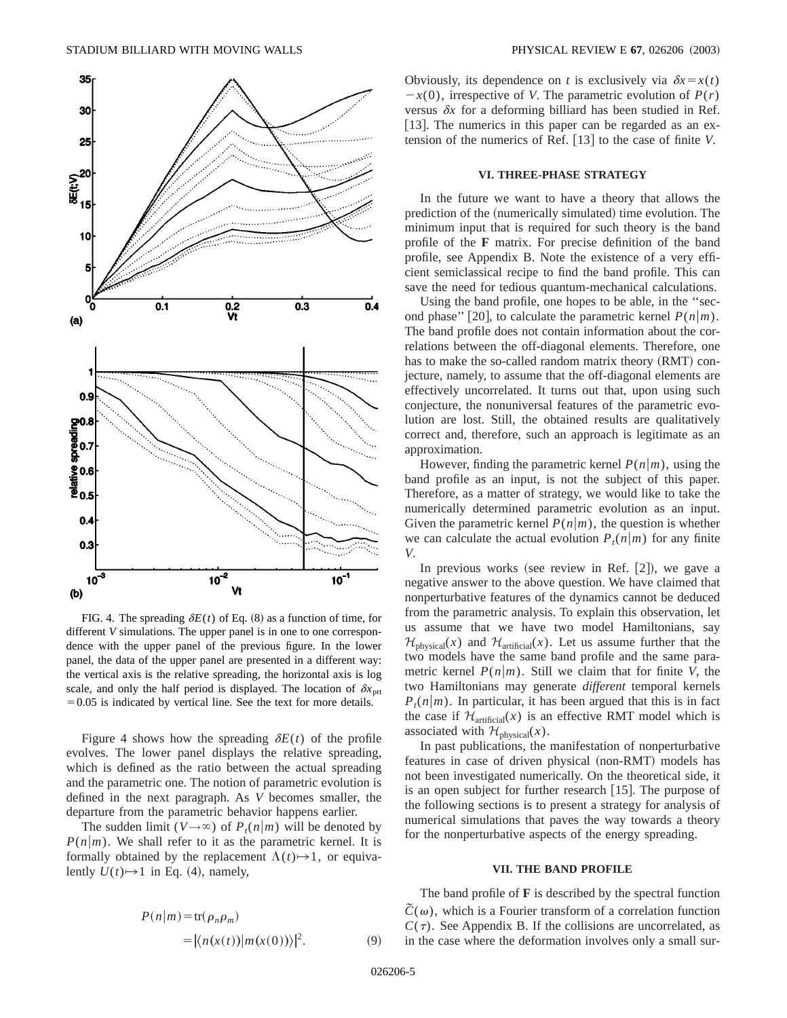

FIG. 4. The spreading  $\delta E(t)$  of Eq. (8) as a function of time, for different *V* simulations. The upper panel is in one to one correspondence with the upper panel of the previous figure. In the lower panel, the data of the upper panel are presented in a different way: the vertical axis is the relative spreading, the horizontal axis is log scale, and only the half period is displayed. The location of  $\delta x$ <sub>prt</sub>  $=0.05$  is indicated by vertical line. See the text for more details.

Figure 4 shows how the spreading  $\delta E(t)$  of the profile evolves. The lower panel displays the relative spreading, which is defined as the ratio between the actual spreading and the parametric one. The notion of parametric evolution is defined in the next paragraph. As *V* becomes smaller, the departure from the parametric behavior happens earlier.

The sudden limit ( $V \rightarrow \infty$ ) of  $P_t(n|m)$  will be denoted by  $P(n|m)$ . We shall refer to it as the parametric kernel. It is formally obtained by the replacement  $\Lambda(t) \rightarrow 1$ , or equivalently  $U(t) \rightarrow 1$  in Eq. (4), namely,

$$
P(n|m) = \text{tr}(\rho_n \rho_m)
$$
  
=  $|\langle n(x(t))|m(x(0))\rangle|^2$ . (9)

Obviously, its dependence on *t* is exclusively via  $\delta x = x(t)$  $-x(0)$ , irrespective of *V*. The parametric evolution of  $P(r)$ versus  $\delta x$  for a deforming billiard has been studied in Ref. [13]. The numerics in this paper can be regarded as an extension of the numerics of Ref.  $[13]$  to the case of finite *V*.

#### **VI. THREE-PHASE STRATEGY**

In the future we want to have a theory that allows the prediction of the (numerically simulated) time evolution. The minimum input that is required for such theory is the band profile of the **F** matrix. For precise definition of the band profile, see Appendix B. Note the existence of a very efficient semiclassical recipe to find the band profile. This can save the need for tedious quantum-mechanical calculations.

Using the band profile, one hopes to be able, in the ''second phase" [20], to calculate the parametric kernel  $P(n|m)$ . The band profile does not contain information about the correlations between the off-diagonal elements. Therefore, one has to make the so-called random matrix theory (RMT) conjecture, namely, to assume that the off-diagonal elements are effectively uncorrelated. It turns out that, upon using such conjecture, the nonuniversal features of the parametric evolution are lost. Still, the obtained results are qualitatively correct and, therefore, such an approach is legitimate as an approximation.

However, finding the parametric kernel  $P(n|m)$ , using the band profile as an input, is not the subject of this paper. Therefore, as a matter of strategy, we would like to take the numerically determined parametric evolution as an input. Given the parametric kernel  $P(n|m)$ , the question is whether we can calculate the actual evolution  $P_t(n|m)$  for any finite *V*.

In previous works (see review in Ref.  $|2|$ ), we gave a negative answer to the above question. We have claimed that nonperturbative features of the dynamics cannot be deduced from the parametric analysis. To explain this observation, let us assume that we have two model Hamiltonians, say  $\mathcal{H}_{\text{physical}}(x)$  and  $\mathcal{H}_{\text{artificial}}(x)$ . Let us assume further that the two models have the same band profile and the same parametric kernel  $P(n|m)$ . Still we claim that for finite *V*, the two Hamiltonians may generate *different* temporal kernels  $P_t(n|m)$ . In particular, it has been argued that this is in fact the case if  $\mathcal{H}_{\text{artificial}}(x)$  is an effective RMT model which is associated with  $\mathcal{H}_{\text{physical}}(x)$ .

In past publications, the manifestation of nonperturbative features in case of driven physical (non-RMT) models has not been investigated numerically. On the theoretical side, it is an open subject for further research  $[15]$ . The purpose of the following sections is to present a strategy for analysis of numerical simulations that paves the way towards a theory for the nonperturbative aspects of the energy spreading.

## **VII. THE BAND PROFILE**

The band profile of **F** is described by the spectral function  $\tilde{C}(\omega)$ , which is a Fourier transform of a correlation function  $C(\tau)$ . See Appendix B. If the collisions are uncorrelated, as in the case where the deformation involves only a small sur-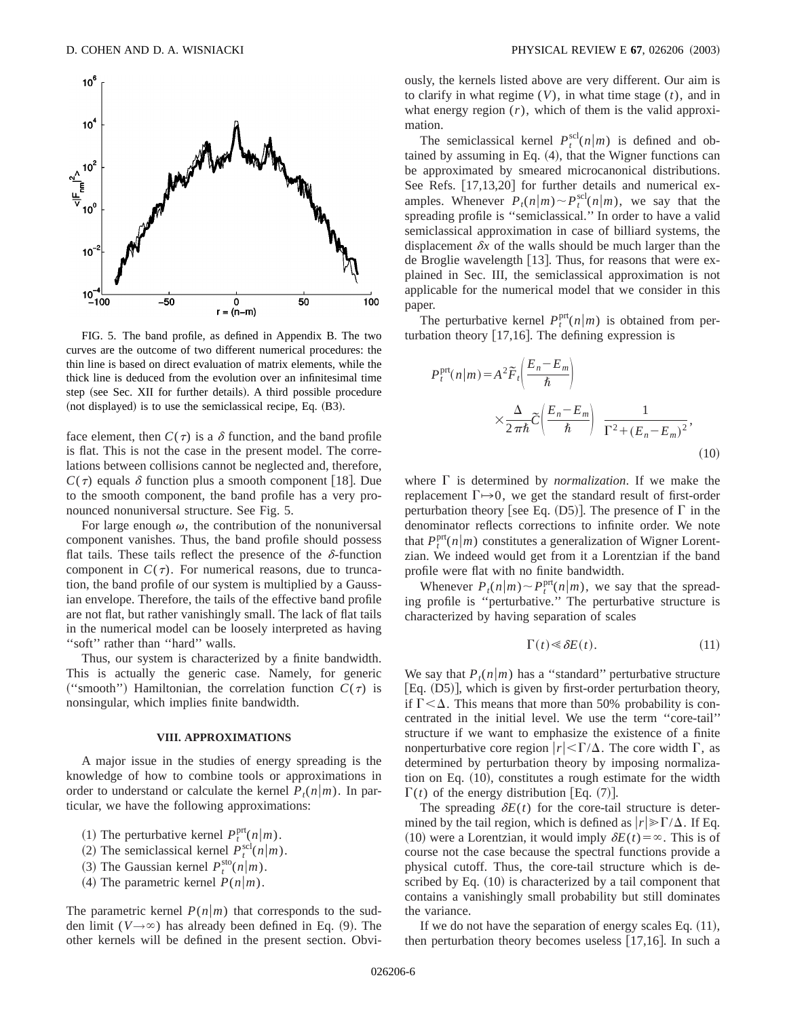

FIG. 5. The band profile, as defined in Appendix B. The two curves are the outcome of two different numerical procedures: the thin line is based on direct evaluation of matrix elements, while the thick line is deduced from the evolution over an infinitesimal time step (see Sec. XII for further details). A third possible procedure  $(not displayed)$  is to use the semiclassical recipe, Eq.  $(B3)$ .

face element, then  $C(\tau)$  is a  $\delta$  function, and the band profile is flat. This is not the case in the present model. The correlations between collisions cannot be neglected and, therefore,  $C(\tau)$  equals  $\delta$  function plus a smooth component [18]. Due to the smooth component, the band profile has a very pronounced nonuniversal structure. See Fig. 5.

For large enough  $\omega$ , the contribution of the nonuniversal component vanishes. Thus, the band profile should possess flat tails. These tails reflect the presence of the  $\delta$ -function component in  $C(\tau)$ . For numerical reasons, due to truncation, the band profile of our system is multiplied by a Gaussian envelope. Therefore, the tails of the effective band profile are not flat, but rather vanishingly small. The lack of flat tails in the numerical model can be loosely interpreted as having "soft" rather than "hard" walls.

Thus, our system is characterized by a finite bandwidth. This is actually the generic case. Namely, for generic ("smooth") Hamiltonian, the correlation function  $C(\tau)$  is nonsingular, which implies finite bandwidth.

#### **VIII. APPROXIMATIONS**

A major issue in the studies of energy spreading is the knowledge of how to combine tools or approximations in order to understand or calculate the kernel  $P_t(n|m)$ . In particular, we have the following approximations:

- (1) The perturbative kernel  $P_t^{\text{prt}}(n|m)$ .
- (2) The semiclassical kernel  $P_t^{\text{sel}}(n|m)$ .
- $(3)$  The Gaussian kernel  $P_t^{\text{sto}}(n|m)$ .
- (4) The parametric kernel  $P(n|m)$ .

The parametric kernel  $P(n|m)$  that corresponds to the sudden limit ( $V \rightarrow \infty$ ) has already been defined in Eq. (9). The other kernels will be defined in the present section. Obviously, the kernels listed above are very different. Our aim is to clarify in what regime (*V*), in what time stage (*t*), and in what energy region  $(r)$ , which of them is the valid approximation.

The semiclassical kernel  $P_t^{\text{sel}}(n|m)$  is defined and obtained by assuming in Eq.  $(4)$ , that the Wigner functions can be approximated by smeared microcanonical distributions. See Refs.  $[17,13,20]$  for further details and numerical examples. Whenever  $P_t(n|m) \sim P_t^{\text{scl}}(n|m)$ , we say that the spreading profile is ''semiclassical.'' In order to have a valid semiclassical approximation in case of billiard systems, the displacement  $\delta x$  of the walls should be much larger than the de Broglie wavelength  $[13]$ . Thus, for reasons that were explained in Sec. III, the semiclassical approximation is not applicable for the numerical model that we consider in this paper.

The perturbative kernel  $P_t^{\text{prt}}(n|m)$  is obtained from perturbation theory  $[17,16]$ . The defining expression is

$$
P_t^{\text{prt}}(n|m) = A^2 \widetilde{F}_t \left( \frac{E_n - E_m}{\hbar} \right)
$$

$$
\times \frac{\Delta}{2\pi\hbar} \widetilde{C} \left( \frac{E_n - E_m}{\hbar} \right) \frac{1}{\Gamma^2 + (E_n - E_m)^2},\tag{10}
$$

where  $\Gamma$  is determined by *normalization*. If we make the replacement  $\Gamma \rightarrow 0$ , we get the standard result of first-order perturbation theory [see Eq.  $(D5)$ ]. The presence of  $\Gamma$  in the denominator reflects corrections to infinite order. We note that  $P_t^{\text{prt}}(n|m)$  constitutes a generalization of Wigner Lorentzian. We indeed would get from it a Lorentzian if the band profile were flat with no finite bandwidth.

Whenever  $P_t(n|m) \sim P_t^{\text{prt}}(n|m)$ , we say that the spreading profile is ''perturbative.'' The perturbative structure is characterized by having separation of scales

$$
\Gamma(t) \ll \delta E(t). \tag{11}
$$

We say that  $P_{\ell}(n|m)$  has a "standard" perturbative structure [Eq.  $(D5)$ ], which is given by first-order perturbation theory, if  $\Gamma < \Delta$ . This means that more than 50% probability is concentrated in the initial level. We use the term ''core-tail'' structure if we want to emphasize the existence of a finite nonperturbative core region  $|r| \langle \Gamma/\Delta$ . The core width  $\Gamma$ , as determined by perturbation theory by imposing normalization on Eq.  $(10)$ , constitutes a rough estimate for the width  $\Gamma(t)$  of the energy distribution [Eq. (7)].

The spreading  $\delta E(t)$  for the core-tail structure is determined by the tail region, which is defined as  $|r| \ge \Gamma/\Delta$ . If Eq.  $(10)$  were a Lorentzian, it would imply  $\delta E(t) = \infty$ . This is of course not the case because the spectral functions provide a physical cutoff. Thus, the core-tail structure which is described by Eq.  $(10)$  is characterized by a tail component that contains a vanishingly small probability but still dominates the variance.

If we do not have the separation of energy scales Eq.  $(11)$ , then perturbation theory becomes useless  $[17,16]$ . In such a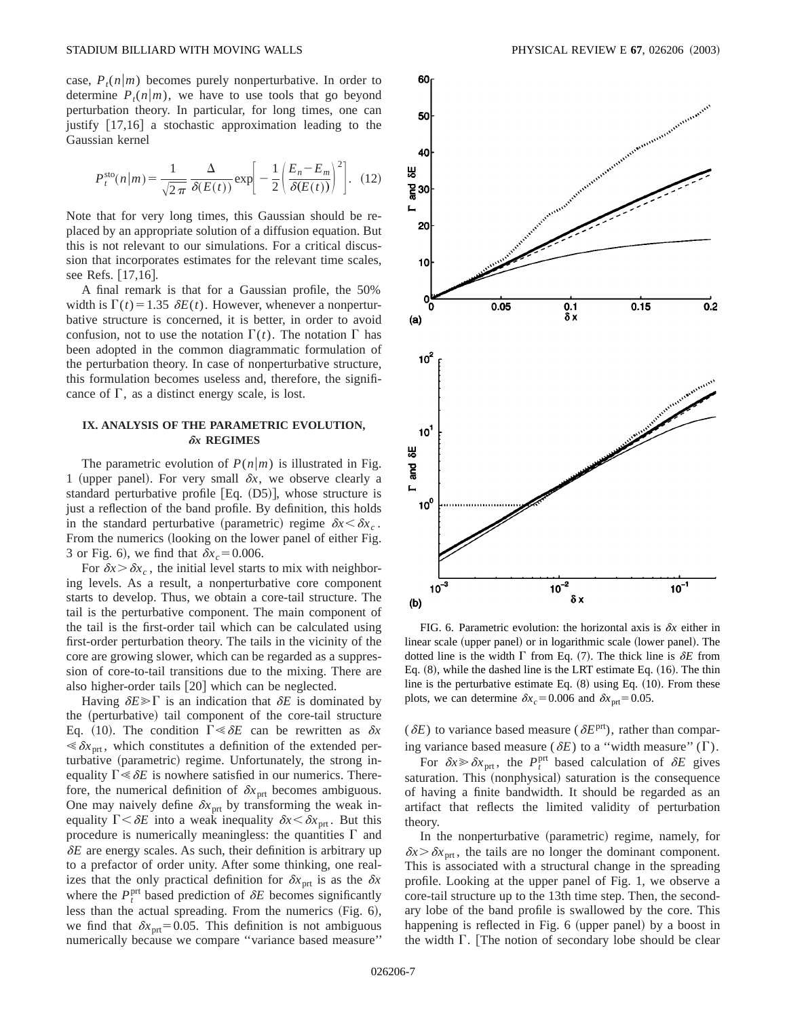case,  $P_t(n|m)$  becomes purely nonperturbative. In order to determine  $P_t(n|m)$ , we have to use tools that go beyond perturbation theory. In particular, for long times, one can justify  $\lceil 17,16 \rceil$  a stochastic approximation leading to the Gaussian kernel

$$
P_t^{\text{sto}}(n|m) = \frac{1}{\sqrt{2\pi}} \frac{\Delta}{\delta(E(t))} \exp\bigg[-\frac{1}{2} \bigg(\frac{E_n - E_m}{\delta(E(t))}\bigg)^2\bigg]. \tag{12}
$$

Note that for very long times, this Gaussian should be replaced by an appropriate solution of a diffusion equation. But this is not relevant to our simulations. For a critical discussion that incorporates estimates for the relevant time scales, see Refs. [17,16].

A final remark is that for a Gaussian profile, the 50% width is  $\Gamma(t) = 1.35 \delta E(t)$ . However, whenever a nonperturbative structure is concerned, it is better, in order to avoid confusion, not to use the notation  $\Gamma(t)$ . The notation  $\Gamma$  has been adopted in the common diagrammatic formulation of the perturbation theory. In case of nonperturbative structure, this formulation becomes useless and, therefore, the significance of  $\Gamma$ , as a distinct energy scale, is lost.

## **IX. ANALYSIS OF THE PARAMETRIC EVOLUTION,** d*x* **REGIMES**

The parametric evolution of  $P(n|m)$  is illustrated in Fig. 1 (upper panel). For very small  $\delta x$ , we observe clearly a standard perturbative profile  $[Eq. (D5)]$ , whose structure is just a reflection of the band profile. By definition, this holds in the standard perturbative (parametric) regime  $\delta x < \delta x_c$ . From the numerics (looking on the lower panel of either Fig. 3 or Fig. 6), we find that  $\delta x_c = 0.006$ .

For  $\delta x > \delta x_c$ , the initial level starts to mix with neighboring levels. As a result, a nonperturbative core component starts to develop. Thus, we obtain a core-tail structure. The tail is the perturbative component. The main component of the tail is the first-order tail which can be calculated using first-order perturbation theory. The tails in the vicinity of the core are growing slower, which can be regarded as a suppression of core-to-tail transitions due to the mixing. There are also higher-order tails  $[20]$  which can be neglected.

Having  $\delta E \gg \Gamma$  is an indication that  $\delta E$  is dominated by the (perturbative) tail component of the core-tail structure Eq. (10). The condition  $\Gamma \ll \delta E$  can be rewritten as  $\delta x$  $\ll \delta x_{\text{ort}}$ , which constitutes a definition of the extended perturbative (parametric) regime. Unfortunately, the strong inequality  $\Gamma \ll \delta E$  is nowhere satisfied in our numerics. Therefore, the numerical definition of  $\delta x_{\text{prt}}$  becomes ambiguous. One may naively define  $\delta x_{\text{prt}}$  by transforming the weak inequality  $\Gamma < \delta E$  into a weak inequality  $\delta x < \delta x$ <sub>prt</sub>. But this procedure is numerically meaningless: the quantities  $\Gamma$  and  $\delta E$  are energy scales. As such, their definition is arbitrary up to a prefactor of order unity. After some thinking, one realizes that the only practical definition for  $\delta x_{\text{prt}}$  is as the  $\delta x$ where the  $P_t^{\text{prt}}$  based prediction of  $\delta E$  becomes significantly less than the actual spreading. From the numerics  $(Fig. 6)$ , we find that  $\delta x_{\text{prt}}=0.05$ . This definition is not ambiguous numerically because we compare ''variance based measure''



FIG. 6. Parametric evolution: the horizontal axis is  $\delta x$  either in linear scale (upper panel) or in logarithmic scale (lower panel). The dotted line is the width  $\Gamma$  from Eq. (7). The thick line is  $\delta E$  from Eq.  $(8)$ , while the dashed line is the LRT estimate Eq.  $(16)$ . The thin line is the perturbative estimate Eq.  $(8)$  using Eq.  $(10)$ . From these plots, we can determine  $\delta x_c = 0.006$  and  $\delta x_{\text{prt}} = 0.05$ .

( $\delta E$ ) to variance based measure ( $\delta E^{\text{prt}}$ ), rather than comparing variance based measure ( $\delta E$ ) to a "width measure" ( $\Gamma$ ).

For  $\delta x \gg \delta x_{\text{prt}}$ , the  $P_t^{\text{prt}}$  based calculation of  $\delta E$  gives saturation. This (nonphysical) saturation is the consequence of having a finite bandwidth. It should be regarded as an artifact that reflects the limited validity of perturbation theory.

In the nonperturbative (parametric) regime, namely, for  $\delta x \geq \delta x_{\text{prt}}$ , the tails are no longer the dominant component. This is associated with a structural change in the spreading profile. Looking at the upper panel of Fig. 1, we observe a core-tail structure up to the 13th time step. Then, the secondary lobe of the band profile is swallowed by the core. This happening is reflected in Fig. 6 (upper panel) by a boost in the width  $\Gamma$ . [The notion of secondary lobe should be clear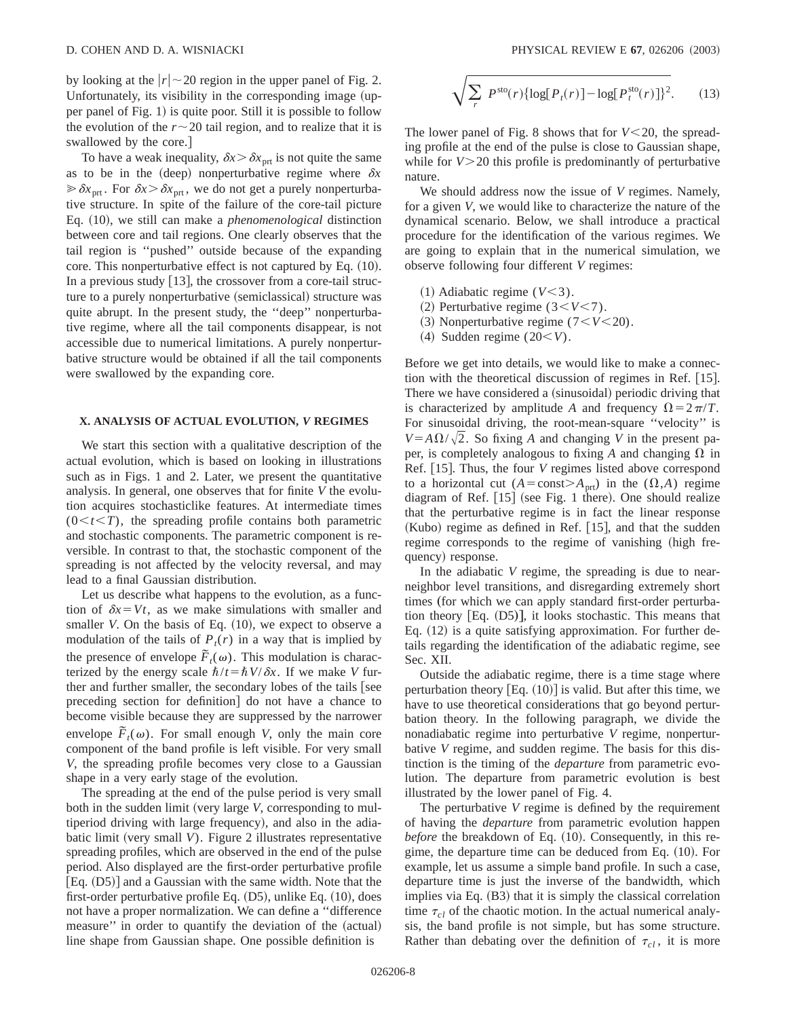by looking at the  $|r| \sim 20$  region in the upper panel of Fig. 2. Unfortunately, its visibility in the corresponding image (upper panel of Fig. 1) is quite poor. Still it is possible to follow the evolution of the  $r \sim 20$  tail region, and to realize that it is swallowed by the core.]

To have a weak inequality,  $\delta x > \delta x_{\text{prt}}$  is not quite the same as to be in the (deep) nonperturbative regime where  $\delta x$  $\gg \delta x$ <sub>prt</sub>. For  $\delta x > \delta x$ <sub>prt</sub>, we do not get a purely nonperturbative structure. In spite of the failure of the core-tail picture Eq.  $(10)$ , we still can make a *phenomenological* distinction between core and tail regions. One clearly observes that the tail region is ''pushed'' outside because of the expanding core. This nonperturbative effect is not captured by Eq.  $(10)$ . In a previous study  $[13]$ , the crossover from a core-tail structure to a purely nonperturbative (semiclassical) structure was quite abrupt. In the present study, the ''deep'' nonperturbative regime, where all the tail components disappear, is not accessible due to numerical limitations. A purely nonperturbative structure would be obtained if all the tail components were swallowed by the expanding core.

# **X. ANALYSIS OF ACTUAL EVOLUTION,** *V* **REGIMES**

We start this section with a qualitative description of the actual evolution, which is based on looking in illustrations such as in Figs. 1 and 2. Later, we present the quantitative analysis. In general, one observes that for finite *V* the evolution acquires stochasticlike features. At intermediate times  $(0 \lt t \lt T)$ , the spreading profile contains both parametric and stochastic components. The parametric component is reversible. In contrast to that, the stochastic component of the spreading is not affected by the velocity reversal, and may lead to a final Gaussian distribution.

Let us describe what happens to the evolution, as a function of  $\delta x = Vt$ , as we make simulations with smaller and smaller *V*. On the basis of Eq.  $(10)$ , we expect to observe a modulation of the tails of  $P_t(r)$  in a way that is implied by the presence of envelope  $\tilde{F}_t(\omega)$ . This modulation is characterized by the energy scale  $\hbar/t = \hbar V/\delta x$ . If we make *V* further and further smaller, the secondary lobes of the tails  $\lceil$  see preceding section for definition do not have a chance to become visible because they are suppressed by the narrower envelope  $\tilde{F}_t(\omega)$ . For small enough *V*, only the main core component of the band profile is left visible. For very small *V*, the spreading profile becomes very close to a Gaussian shape in a very early stage of the evolution.

The spreading at the end of the pulse period is very small both in the sudden limit (very large *V*, corresponding to multiperiod driving with large frequency), and also in the adiabatic limit (very small  $V$ ). Figure 2 illustrates representative spreading profiles, which are observed in the end of the pulse period. Also displayed are the first-order perturbative profile  $[Eq. (D5)]$  and a Gaussian with the same width. Note that the first-order perturbative profile Eq.  $(D5)$ , unlike Eq.  $(10)$ , does not have a proper normalization. We can define a ''difference measure" in order to quantify the deviation of the (actual) line shape from Gaussian shape. One possible definition is

$$
\sqrt{\sum_{r} P^{\text{sto}}(r) \{ \log[P_t(r)] - \log[P_t^{\text{sto}}(r)] \}^2}.
$$
 (13)

The lower panel of Fig. 8 shows that for  $V < 20$ , the spreading profile at the end of the pulse is close to Gaussian shape, while for  $V > 20$  this profile is predominantly of perturbative nature.

We should address now the issue of *V* regimes. Namely, for a given *V*, we would like to characterize the nature of the dynamical scenario. Below, we shall introduce a practical procedure for the identification of the various regimes. We are going to explain that in the numerical simulation, we observe following four different *V* regimes:

- $(1)$  Adiabatic regime  $(V<3)$ .
- $(2)$  Perturbative regime  $(3 < V < 7)$ .
- $(3)$  Nonperturbative regime  $(7 < V < 20)$ .
- $(4)$  Sudden regime  $(20\leq V)$ .

Before we get into details, we would like to make a connection with the theoretical discussion of regimes in Ref.  $[15]$ . There we have considered a (sinusoidal) periodic driving that is characterized by amplitude *A* and frequency  $\Omega = 2\pi/T$ . For sinusoidal driving, the root-mean-square ''velocity'' is  $V = A \Omega / \sqrt{2}$ . So fixing *A* and changing *V* in the present paper, is completely analogous to fixing A and changing  $\Omega$  in Ref. [15]. Thus, the four *V* regimes listed above correspond to a horizontal cut  $(A=const>A<sub>ort</sub>)$  in the  $(\Omega,A)$  regime diagram of Ref.  $[15]$  (see Fig. 1 there). One should realize that the perturbative regime is in fact the linear response  $(Kubo)$  regime as defined in Ref. [15], and that the sudden regime corresponds to the regime of vanishing (high frequency) response.

In the adiabatic *V* regime, the spreading is due to nearneighbor level transitions, and disregarding extremely short times (for which we can apply standard first-order perturbation theory  $[Eq. (D5)]$ , it looks stochastic. This means that Eq.  $(12)$  is a quite satisfying approximation. For further details regarding the identification of the adiabatic regime, see Sec. XII.

Outside the adiabatic regime, there is a time stage where perturbation theory  $[Eq. (10)]$  is valid. But after this time, we have to use theoretical considerations that go beyond perturbation theory. In the following paragraph, we divide the nonadiabatic regime into perturbative *V* regime, nonperturbative *V* regime, and sudden regime. The basis for this distinction is the timing of the *departure* from parametric evolution. The departure from parametric evolution is best illustrated by the lower panel of Fig. 4.

The perturbative *V* regime is defined by the requirement of having the *departure* from parametric evolution happen *before* the breakdown of Eq. (10). Consequently, in this regime, the departure time can be deduced from Eq.  $(10)$ . For example, let us assume a simple band profile. In such a case, departure time is just the inverse of the bandwidth, which implies via Eq.  $(B3)$  that it is simply the classical correlation time  $\tau_{cl}$  of the chaotic motion. In the actual numerical analysis, the band profile is not simple, but has some structure. Rather than debating over the definition of  $\tau_{cl}$ , it is more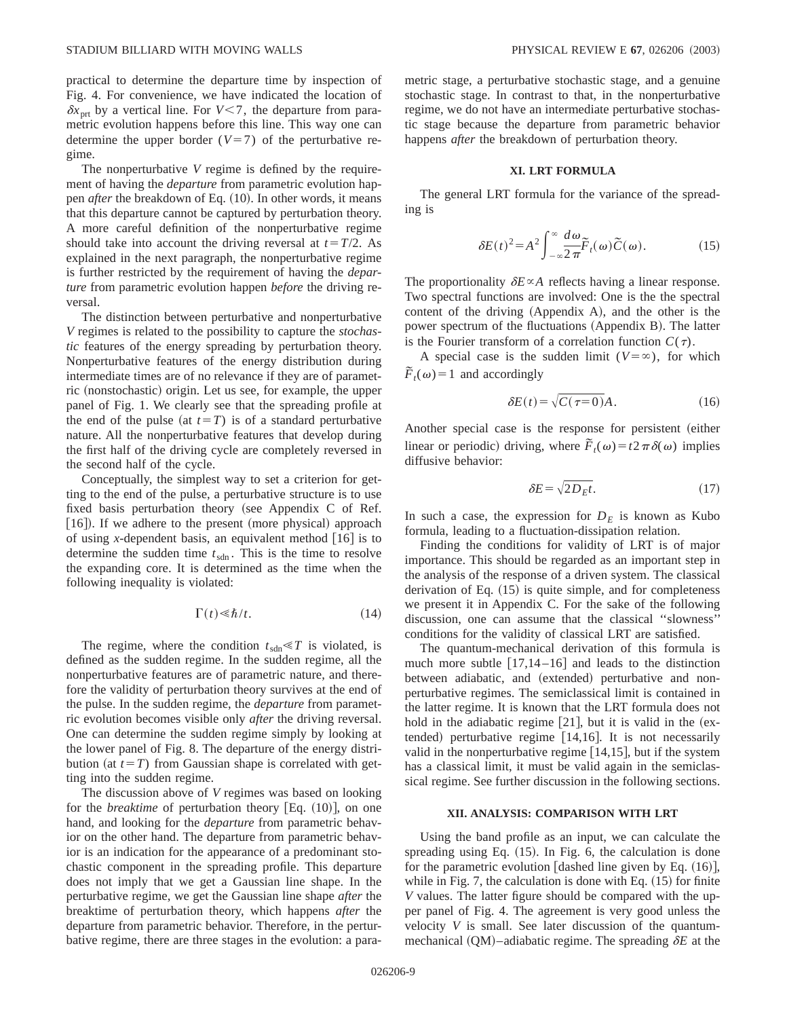practical to determine the departure time by inspection of Fig. 4. For convenience, we have indicated the location of  $\delta x$ <sub>prt</sub> by a vertical line. For *V*<7, the departure from parametric evolution happens before this line. This way one can determine the upper border  $(V=7)$  of the perturbative regime.

The nonperturbative *V* regime is defined by the requirement of having the *departure* from parametric evolution happen *after* the breakdown of Eq. (10). In other words, it means that this departure cannot be captured by perturbation theory. A more careful definition of the nonperturbative regime should take into account the driving reversal at  $t=T/2$ . As explained in the next paragraph, the nonperturbative regime is further restricted by the requirement of having the *departure* from parametric evolution happen *before* the driving reversal.

The distinction between perturbative and nonperturbative *V* regimes is related to the possibility to capture the *stochastic* features of the energy spreading by perturbation theory. Nonperturbative features of the energy distribution during intermediate times are of no relevance if they are of parametric (nonstochastic) origin. Let us see, for example, the upper panel of Fig. 1. We clearly see that the spreading profile at the end of the pulse (at  $t=T$ ) is of a standard perturbative nature. All the nonperturbative features that develop during the first half of the driving cycle are completely reversed in the second half of the cycle.

Conceptually, the simplest way to set a criterion for getting to the end of the pulse, a perturbative structure is to use fixed basis perturbation theory (see Appendix C of Ref.  $[16]$ ). If we adhere to the present (more physical) approach of using *x*-dependent basis, an equivalent method  $\lceil 16 \rceil$  is to determine the sudden time  $t_{\text{sdn}}$ . This is the time to resolve the expanding core. It is determined as the time when the following inequality is violated:

$$
\Gamma(t) \ll \hbar/t. \tag{14}
$$

The regime, where the condition  $t_{\text{sdn}} \ll T$  is violated, is defined as the sudden regime. In the sudden regime, all the nonperturbative features are of parametric nature, and therefore the validity of perturbation theory survives at the end of the pulse. In the sudden regime, the *departure* from parametric evolution becomes visible only *after* the driving reversal. One can determine the sudden regime simply by looking at the lower panel of Fig. 8. The departure of the energy distribution (at  $t=T$ ) from Gaussian shape is correlated with getting into the sudden regime.

The discussion above of *V* regimes was based on looking for the *breaktime* of perturbation theory [Eq. (10)], on one hand, and looking for the *departure* from parametric behavior on the other hand. The departure from parametric behavior is an indication for the appearance of a predominant stochastic component in the spreading profile. This departure does not imply that we get a Gaussian line shape. In the perturbative regime, we get the Gaussian line shape *after* the breaktime of perturbation theory, which happens *after* the departure from parametric behavior. Therefore, in the perturbative regime, there are three stages in the evolution: a parametric stage, a perturbative stochastic stage, and a genuine stochastic stage. In contrast to that, in the nonperturbative regime, we do not have an intermediate perturbative stochastic stage because the departure from parametric behavior happens *after* the breakdown of perturbation theory.

# **XI. LRT FORMULA**

The general LRT formula for the variance of the spreading is

$$
\delta E(t)^2 = A^2 \int_{-\infty}^{\infty} \frac{d\omega}{2\pi} \tilde{F}_t(\omega) \tilde{C}(\omega).
$$
 (15)

The proportionality  $\delta E \propto A$  reflects having a linear response. Two spectral functions are involved: One is the the spectral content of the driving  $(Appendix A)$ , and the other is the power spectrum of the fluctuations (Appendix B). The latter is the Fourier transform of a correlation function  $C(\tau)$ .

A special case is the sudden limit  $(V = \infty)$ , for which  $\widetilde{F}_t(\omega) = 1$  and accordingly

$$
\delta E(t) = \sqrt{C(\tau = 0)}A. \tag{16}
$$

Another special case is the response for persistent (either linear or periodic) driving, where  $\tilde{F}_t(\omega) = t^2 \pi \delta(\omega)$  implies diffusive behavior:

$$
\delta E = \sqrt{2D_E t}.\tag{17}
$$

In such a case, the expression for  $D<sub>E</sub>$  is known as Kubo formula, leading to a fluctuation-dissipation relation.

Finding the conditions for validity of LRT is of major importance. This should be regarded as an important step in the analysis of the response of a driven system. The classical derivation of Eq.  $(15)$  is quite simple, and for completeness we present it in Appendix C. For the sake of the following discussion, one can assume that the classical ''slowness'' conditions for the validity of classical LRT are satisfied.

The quantum-mechanical derivation of this formula is much more subtle  $[17,14-16]$  and leads to the distinction between adiabatic, and (extended) perturbative and nonperturbative regimes. The semiclassical limit is contained in the latter regime. It is known that the LRT formula does not hold in the adiabatic regime  $[21]$ , but it is valid in the  $(ex$ tended) perturbative regime  $[14,16]$ . It is not necessarily valid in the nonperturbative regime  $[14,15]$ , but if the system has a classical limit, it must be valid again in the semiclassical regime. See further discussion in the following sections.

#### **XII. ANALYSIS: COMPARISON WITH LRT**

Using the band profile as an input, we can calculate the spreading using Eq.  $(15)$ . In Fig. 6, the calculation is done for the parametric evolution [dashed line given by Eq.  $(16)$ ], while in Fig. 7, the calculation is done with Eq.  $(15)$  for finite *V* values. The latter figure should be compared with the upper panel of Fig. 4. The agreement is very good unless the velocity *V* is small. See later discussion of the quantummechanical  $(QM)$ –adiabatic regime. The spreading  $\delta E$  at the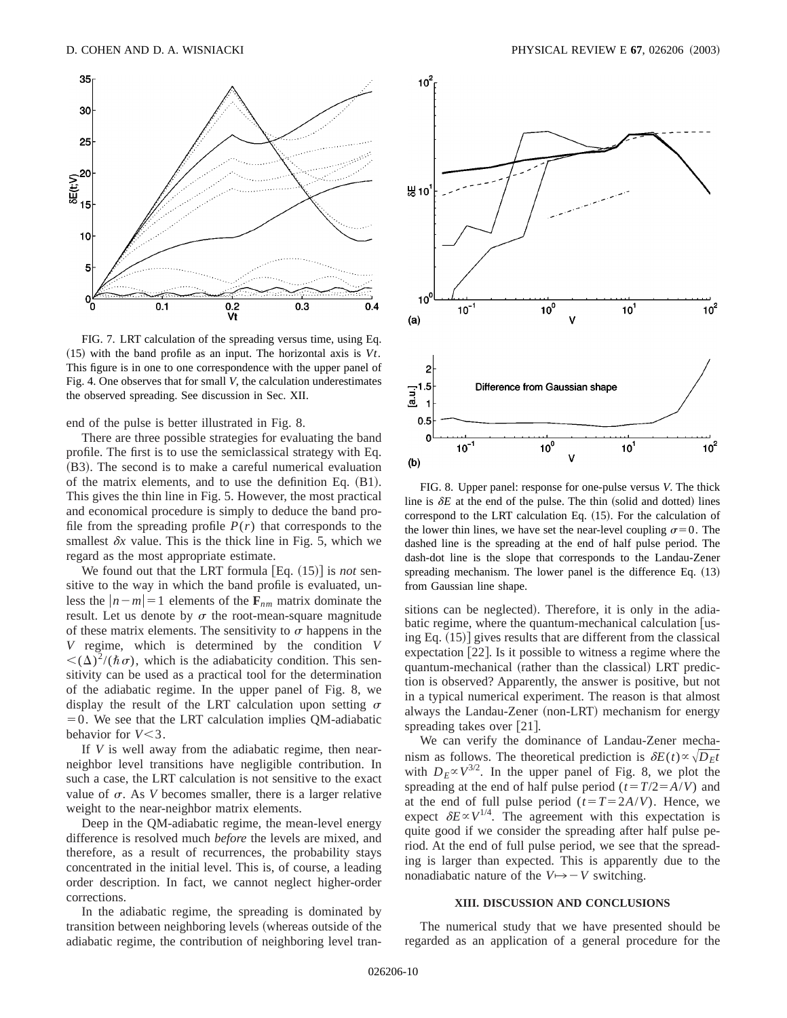

FIG. 7. LRT calculation of the spreading versus time, using Eq.  $(15)$  with the band profile as an input. The horizontal axis is  $Vt$ . This figure is in one to one correspondence with the upper panel of Fig. 4. One observes that for small *V*, the calculation underestimates the observed spreading. See discussion in Sec. XII.

end of the pulse is better illustrated in Fig. 8.

There are three possible strategies for evaluating the band profile. The first is to use the semiclassical strategy with Eq.  $(B3)$ . The second is to make a careful numerical evaluation of the matrix elements, and to use the definition Eq.  $(B1)$ . This gives the thin line in Fig. 5. However, the most practical and economical procedure is simply to deduce the band profile from the spreading profile  $P(r)$  that corresponds to the smallest  $\delta x$  value. This is the thick line in Fig. 5, which we regard as the most appropriate estimate.

We found out that the LRT formula  $[Eq. (15)]$  is *not* sensitive to the way in which the band profile is evaluated, unless the  $|n-m|=1$  elements of the  $\mathbf{F}_{nm}$  matrix dominate the result. Let us denote by  $\sigma$  the root-mean-square magnitude of these matrix elements. The sensitivity to  $\sigma$  happens in the *V* regime, which is determined by the condition *V*  $<(\Delta)^2/(\hbar\sigma)$ , which is the adiabaticity condition. This sensitivity can be used as a practical tool for the determination of the adiabatic regime. In the upper panel of Fig. 8, we display the result of the LRT calculation upon setting  $\sigma$  $=0$ . We see that the LRT calculation implies QM-adiabatic behavior for  $V < 3$ .

If *V* is well away from the adiabatic regime, then nearneighbor level transitions have negligible contribution. In such a case, the LRT calculation is not sensitive to the exact value of  $\sigma$ . As *V* becomes smaller, there is a larger relative weight to the near-neighbor matrix elements.

Deep in the QM-adiabatic regime, the mean-level energy difference is resolved much *before* the levels are mixed, and therefore, as a result of recurrences, the probability stays concentrated in the initial level. This is, of course, a leading order description. In fact, we cannot neglect higher-order corrections.

In the adiabatic regime, the spreading is dominated by transition between neighboring levels (whereas outside of the adiabatic regime, the contribution of neighboring level tran-



FIG. 8. Upper panel: response for one-pulse versus *V*. The thick line is  $\delta E$  at the end of the pulse. The thin (solid and dotted) lines correspond to the LRT calculation Eq.  $(15)$ . For the calculation of the lower thin lines, we have set the near-level coupling  $\sigma=0$ . The dashed line is the spreading at the end of half pulse period. The dash-dot line is the slope that corresponds to the Landau-Zener spreading mechanism. The lower panel is the difference Eq.  $(13)$ from Gaussian line shape.

sitions can be neglected). Therefore, it is only in the adiabatic regime, where the quantum-mechanical calculation  $\lceil$ using Eq.  $(15)$  gives results that are different from the classical expectation  $[22]$ . Is it possible to witness a regime where the quantum-mechanical (rather than the classical) LRT prediction is observed? Apparently, the answer is positive, but not in a typical numerical experiment. The reason is that almost always the Landau-Zener (non-LRT) mechanism for energy spreading takes over  $[21]$ .

We can verify the dominance of Landau-Zener mechanism as follows. The theoretical prediction is  $\delta E(t) \propto \sqrt{D_E t}$ with  $D_F \propto V^{3/2}$ . In the upper panel of Fig. 8, we plot the spreading at the end of half pulse period  $(t=T/2=A/V)$  and at the end of full pulse period  $(t=T=2A/V)$ . Hence, we expect  $\delta E \propto V^{1/4}$ . The agreement with this expectation is quite good if we consider the spreading after half pulse period. At the end of full pulse period, we see that the spreading is larger than expected. This is apparently due to the nonadiabatic nature of the  $V \rightarrow V$  switching.

#### **XIII. DISCUSSION AND CONCLUSIONS**

The numerical study that we have presented should be regarded as an application of a general procedure for the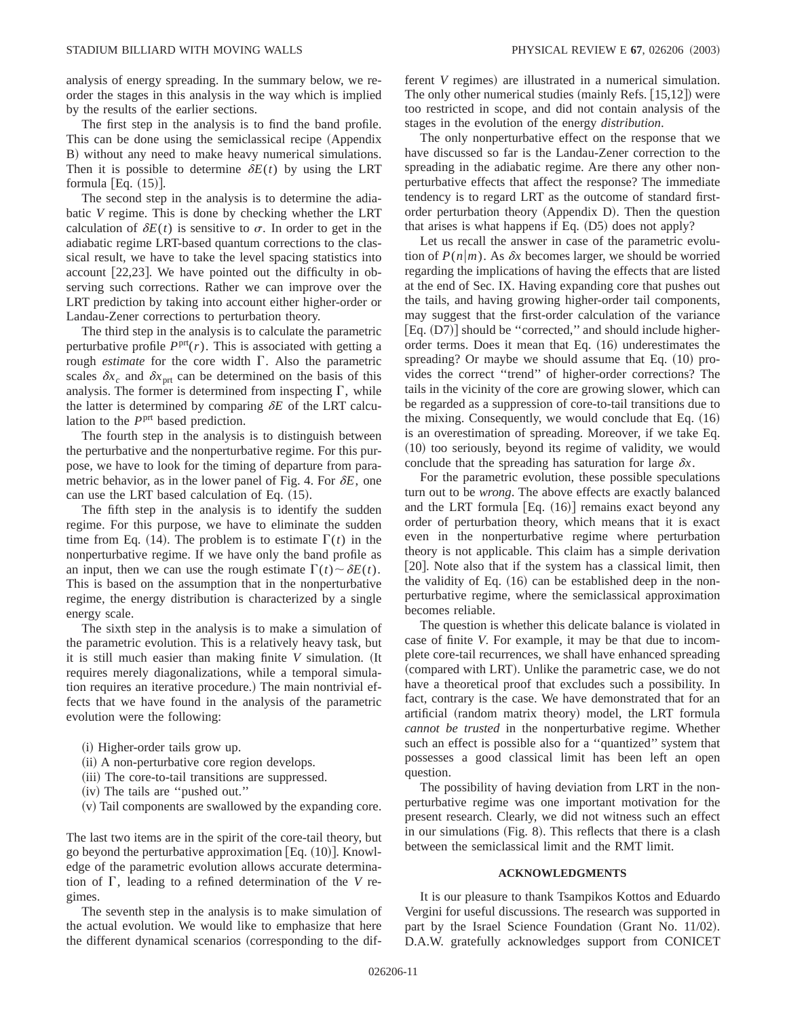analysis of energy spreading. In the summary below, we reorder the stages in this analysis in the way which is implied by the results of the earlier sections.

The first step in the analysis is to find the band profile. This can be done using the semiclassical recipe (Appendix B) without any need to make heavy numerical simulations. Then it is possible to determine  $\delta E(t)$  by using the LRT formula  $[Eq. (15)].$ 

The second step in the analysis is to determine the adiabatic *V* regime. This is done by checking whether the LRT calculation of  $\delta E(t)$  is sensitive to  $\sigma$ . In order to get in the adiabatic regime LRT-based quantum corrections to the classical result, we have to take the level spacing statistics into account  $[22,23]$ . We have pointed out the difficulty in observing such corrections. Rather we can improve over the LRT prediction by taking into account either higher-order or Landau-Zener corrections to perturbation theory.

The third step in the analysis is to calculate the parametric perturbative profile  $P<sup>prt</sup>(r)$ . This is associated with getting a rough *estimate* for the core width  $\Gamma$ . Also the parametric scales  $\delta x_c$  and  $\delta x_{\text{prt}}$  can be determined on the basis of this analysis. The former is determined from inspecting  $\Gamma$ , while the latter is determined by comparing  $\delta E$  of the LRT calculation to the *P*<sup>prt</sup> based prediction.

The fourth step in the analysis is to distinguish between the perturbative and the nonperturbative regime. For this purpose, we have to look for the timing of departure from parametric behavior, as in the lower panel of Fig. 4. For  $\delta E$ , one can use the LRT based calculation of Eq.  $(15)$ .

The fifth step in the analysis is to identify the sudden regime. For this purpose, we have to eliminate the sudden time from Eq. (14). The problem is to estimate  $\Gamma(t)$  in the nonperturbative regime. If we have only the band profile as an input, then we can use the rough estimate  $\Gamma(t) \sim \delta E(t)$ . This is based on the assumption that in the nonperturbative regime, the energy distribution is characterized by a single energy scale.

The sixth step in the analysis is to make a simulation of the parametric evolution. This is a relatively heavy task, but it is still much easier than making finite  $V$  simulation. (It requires merely diagonalizations, while a temporal simulation requires an iterative procedure.) The main nontrivial effects that we have found in the analysis of the parametric evolution were the following:

- (i) Higher-order tails grow up.
- (ii) A non-perturbative core region develops.
- (iii) The core-to-tail transitions are suppressed.
- (iv) The tails are "pushed out."
- (v) Tail components are swallowed by the expanding core.

The last two items are in the spirit of the core-tail theory, but go beyond the perturbative approximation [Eq.  $(10)$ ]. Knowledge of the parametric evolution allows accurate determination of  $\Gamma$ , leading to a refined determination of the *V* regimes.

The seventh step in the analysis is to make simulation of the actual evolution. We would like to emphasize that here the different dynamical scenarios (corresponding to the different *V* regimes) are illustrated in a numerical simulation. The only other numerical studies (mainly Refs.  $[15,12]$ ) were too restricted in scope, and did not contain analysis of the stages in the evolution of the energy *distribution*.

The only nonperturbative effect on the response that we have discussed so far is the Landau-Zener correction to the spreading in the adiabatic regime. Are there any other nonperturbative effects that affect the response? The immediate tendency is to regard LRT as the outcome of standard firstorder perturbation theory (Appendix D). Then the question that arises is what happens if Eq.  $(D5)$  does not apply?

Let us recall the answer in case of the parametric evolution of  $P(n|m)$ . As  $\delta x$  becomes larger, we should be worried regarding the implications of having the effects that are listed at the end of Sec. IX. Having expanding core that pushes out the tails, and having growing higher-order tail components, may suggest that the first-order calculation of the variance  $[Eq. (D7)]$  should be "corrected," and should include higherorder terms. Does it mean that Eq.  $(16)$  underestimates the spreading? Or maybe we should assume that Eq.  $(10)$  provides the correct ''trend'' of higher-order corrections? The tails in the vicinity of the core are growing slower, which can be regarded as a suppression of core-to-tail transitions due to the mixing. Consequently, we would conclude that Eq.  $(16)$ is an overestimation of spreading. Moreover, if we take Eq.  $(10)$  too seriously, beyond its regime of validity, we would conclude that the spreading has saturation for large  $\delta x$ .

For the parametric evolution, these possible speculations turn out to be *wrong*. The above effects are exactly balanced and the LRT formula  $[Eq. (16)]$  remains exact beyond any order of perturbation theory, which means that it is exact even in the nonperturbative regime where perturbation theory is not applicable. This claim has a simple derivation  $[20]$ . Note also that if the system has a classical limit, then the validity of Eq.  $(16)$  can be established deep in the nonperturbative regime, where the semiclassical approximation becomes reliable.

The question is whether this delicate balance is violated in case of finite *V*. For example, it may be that due to incomplete core-tail recurrences, we shall have enhanced spreading (compared with LRT). Unlike the parametric case, we do not have a theoretical proof that excludes such a possibility. In fact, contrary is the case. We have demonstrated that for an artificial (random matrix theory) model, the LRT formula *cannot be trusted* in the nonperturbative regime. Whether such an effect is possible also for a ''quantized'' system that possesses a good classical limit has been left an open question.

The possibility of having deviation from LRT in the nonperturbative regime was one important motivation for the present research. Clearly, we did not witness such an effect in our simulations  $(Fig. 8)$ . This reflects that there is a clash between the semiclassical limit and the RMT limit.

## **ACKNOWLEDGMENTS**

It is our pleasure to thank Tsampikos Kottos and Eduardo Vergini for useful discussions. The research was supported in part by the Israel Science Foundation (Grant No. 11/02). D.A.W. gratefully acknowledges support from CONICET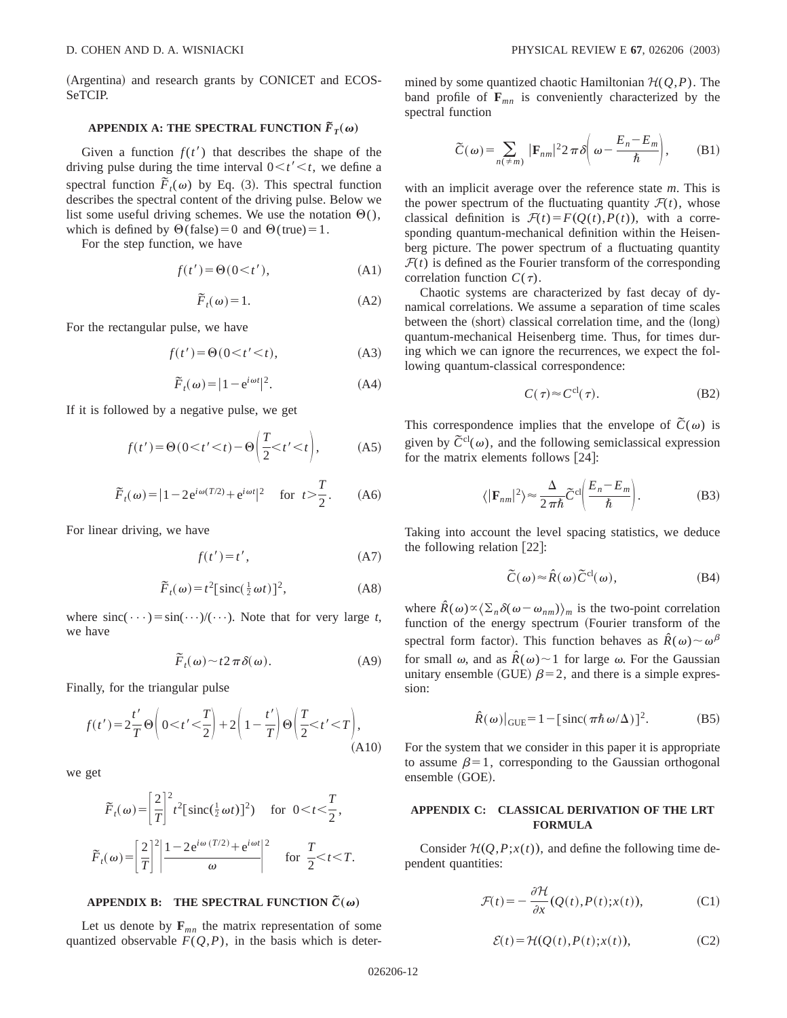(Argentina) and research grants by CONICET and ECOS-SeTCIP.

# **APPENDIX A: THE SPECTRAL FUNCTION**  $\tilde{F}_T(\omega)$

Given a function  $f(t')$  that describes the shape of the driving pulse during the time interval  $0 \lt t' \lt t$ , we define a spectral function  $\overline{F}_t(\omega)$  by Eq. (3). This spectral function describes the spectral content of the driving pulse. Below we list some useful driving schemes. We use the notation  $\Theta()$ , which is defined by  $\Theta$ (false) = 0 and  $\Theta$ (true) = 1.

For the step function, we have

$$
f(t') = \Theta(0 \lt t'),\tag{A1}
$$

$$
\widetilde{F}_t(\omega) = 1. \tag{A2}
$$

For the rectangular pulse, we have

$$
f(t') = \Theta(0 < t' < t),\tag{A3}
$$

$$
\widetilde{F}_t(\omega) = |1 - e^{i\omega t}|^2. \tag{A4}
$$

If it is followed by a negative pulse, we get

$$
f(t') = \Theta(0 < t' < t) - \Theta\left(\frac{T}{2} < t' < t\right),\tag{A5}
$$

$$
\tilde{F}_t(\omega) = |1 - 2e^{i\omega(T/2)} + e^{i\omega t}|^2
$$
 for  $t > \frac{T}{2}$ . (A6)

For linear driving, we have

$$
f(t') = t',\tag{A7}
$$

$$
\widetilde{F}_t(\omega) = t^2 \left[ \text{sinc}\left(\frac{1}{2}\omega t\right) \right]^2, \tag{A8}
$$

where  $\text{sinc}(\cdots) = \text{sin}(\cdots)/(\cdots)$ . Note that for very large *t*, we have

$$
\tilde{F}_t(\omega) \sim t2\,\pi\,\delta(\omega). \tag{A9}
$$

Finally, for the triangular pulse

$$
f(t') = 2\frac{t'}{T}\Theta\left(0 < t' < \frac{T}{2}\right) + 2\left(1 - \frac{t'}{T}\right)\Theta\left(\frac{T}{2} < t' < T\right),\tag{A10}
$$

we get

$$
\widetilde{F}_t(\omega) = \left[\frac{2}{T}\right]^2 t^2 \left[\operatorname{sinc}\left(\frac{1}{2}\omega t\right)\right]^2) \quad \text{for } 0 < t < \frac{T}{2},
$$
\n
$$
\widetilde{F}_t(\omega) = \left[\frac{2}{T}\right]^2 \left|\frac{1 - 2e^{i\omega (T/2)} + e^{i\omega t}}{\omega}\right|^2 \quad \text{for } \frac{T}{2} < t < T.
$$

#### **APPENDIX B: THE SPECTRAL FUNCTION**  $\tilde{C}(\omega)$

Let us denote by  $\mathbf{F}_{mn}$  the matrix representation of some quantized observable  $F(Q, P)$ , in the basis which is determined by some quantized chaotic Hamiltonian  $H(Q, P)$ . The band profile of  $\mathbf{F}_{mn}$  is conveniently characterized by the spectral function

$$
\widetilde{C}(\omega) = \sum_{n(\neq m)} |\mathbf{F}_{nm}|^2 2 \pi \delta \left( \omega - \frac{E_n - E_m}{\hbar} \right), \quad (B1)
$$

with an implicit average over the reference state *m*. This is the power spectrum of the fluctuating quantity  $\mathcal{F}(t)$ , whose classical definition is  $\mathcal{F}(t) = F(Q(t), P(t))$ , with a corresponding quantum-mechanical definition within the Heisenberg picture. The power spectrum of a fluctuating quantity  $F(t)$  is defined as the Fourier transform of the corresponding correlation function  $C(\tau)$ .

Chaotic systems are characterized by fast decay of dynamical correlations. We assume a separation of time scales between the (short) classical correlation time, and the  $(long)$ quantum-mechanical Heisenberg time. Thus, for times during which we can ignore the recurrences, we expect the following quantum-classical correspondence:

$$
C(\tau) \approx C^{\text{cl}}(\tau). \tag{B2}
$$

This correspondence implies that the envelope of  $\tilde{C}(\omega)$  is given by  $\tilde{C}^{cl}(\omega)$ , and the following semiclassical expression for the matrix elements follows  $[24]$ :

$$
\langle |\mathbf{F}_{nm}|^2 \rangle \approx \frac{\Delta}{2\pi\hbar} \widetilde{C}^{cl} \bigg( \frac{E_n - E_m}{\hbar} \bigg). \tag{B3}
$$

Taking into account the level spacing statistics, we deduce the following relation  $[22]$ :

$$
\tilde{C}(\omega) \approx \hat{R}(\omega) \tilde{C}^{\text{cl}}(\omega), \tag{B4}
$$

where  $\hat{R}(\omega) \propto \langle \Sigma_n \delta(\omega - \omega_{nm}) \rangle_m$  is the two-point correlation function of the energy spectrum (Fourier transform of the spectral form factor). This function behaves as  $\hat{R}(\omega) \sim \omega^{\beta}$ for small  $\omega$ , and as  $\hat{R}(\omega) \sim 1$  for large  $\omega$ . For the Gaussian unitary ensemble (GUE)  $\beta$ =2, and there is a simple expression:

$$
\hat{R}(\omega)|_{\text{GUE}} = 1 - [\text{sinc}(\pi \hbar \omega/\Delta)]^2. \tag{B5}
$$

For the system that we consider in this paper it is appropriate to assume  $\beta=1$ , corresponding to the Gaussian orthogonal ensemble (GOE).

# **APPENDIX C: CLASSICAL DERIVATION OF THE LRT FORMULA**

Consider  $H(Q, P; x(t))$ , and define the following time dependent quantities:

$$
\mathcal{F}(t) = -\frac{\partial \mathcal{H}}{\partial x}(Q(t), P(t); x(t)),
$$
\n(C1)

$$
\mathcal{E}(t) = \mathcal{H}(Q(t), P(t); x(t)),
$$
 (C2)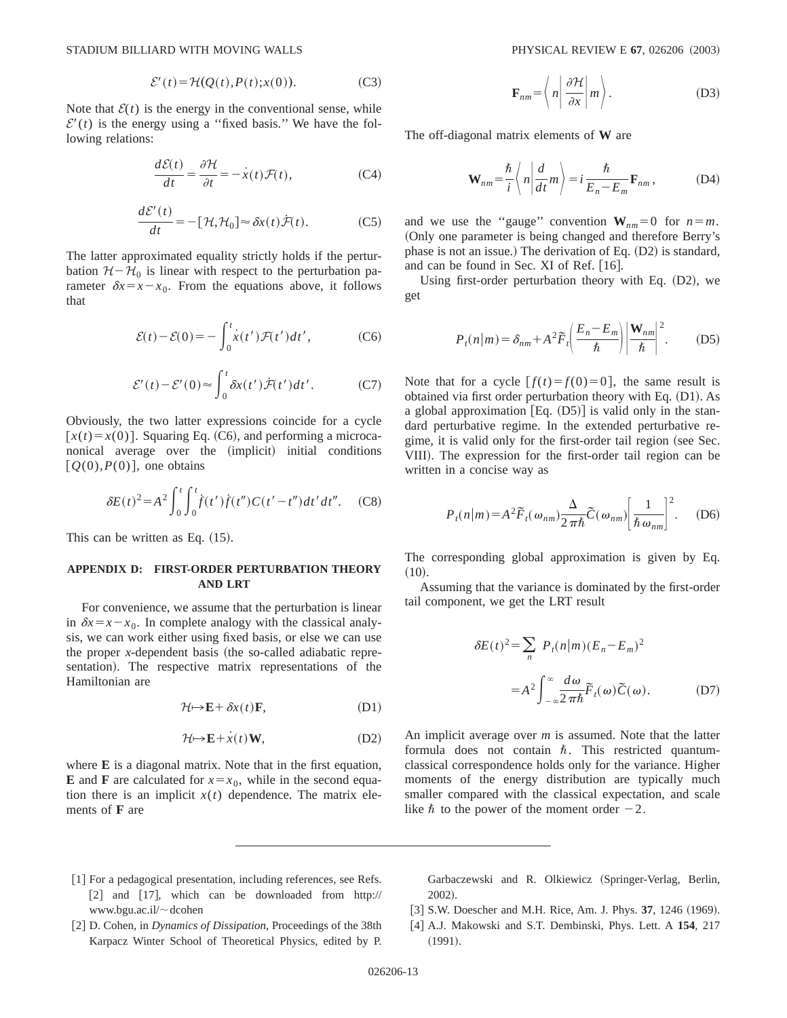$$
\mathcal{E}'(t) = \mathcal{H}(Q(t), P(t); x(0)).
$$
 (C3)

Note that  $\mathcal{E}(t)$  is the energy in the conventional sense, while  $\mathcal{E}'(t)$  is the energy using a "fixed basis." We have the following relations:

$$
\frac{d\mathcal{E}(t)}{dt} = \frac{\partial \mathcal{H}}{\partial t} = -\dot{x}(t)\mathcal{F}(t),\tag{C4}
$$

$$
\frac{d\mathcal{E}'(t)}{dt} = -[\mathcal{H}, \mathcal{H}_0] \approx \delta x(t)\dot{\mathcal{F}}(t). \tag{C5}
$$

The latter approximated equality strictly holds if the perturbation  $H-\mathcal{H}_0$  is linear with respect to the perturbation parameter  $\delta x = x - x_0$ . From the equations above, it follows that

$$
\mathcal{E}(t) - \mathcal{E}(0) = -\int_0^t \dot{x}(t') \mathcal{F}(t') dt', \qquad (C6)
$$

$$
\mathcal{E}'(t) - \mathcal{E}'(0) \approx \int_0^t \delta x(t') \mathcal{F}(t') dt'.
$$
 (C7)

Obviously, the two latter expressions coincide for a cycle  $[x(t) = x(0)]$ . Squaring Eq. (C6), and performing a microcanonical average over the (implicit) initial conditions  $[Q(0), P(0)]$ , one obtains

$$
\delta E(t)^{2} = A^{2} \int_{0}^{t} \int_{0}^{t} f(t') f(t'') C(t'-t'') dt' dt''.
$$
 (C8)

This can be written as Eq.  $(15)$ .

# **APPENDIX D: FIRST-ORDER PERTURBATION THEORY AND LRT**

For convenience, we assume that the perturbation is linear in  $\delta x = x - x_0$ . In complete analogy with the classical analysis, we can work either using fixed basis, or else we can use the proper *x*-dependent basis (the so-called adiabatic representation). The respective matrix representations of the Hamiltonian are

$$
\mathcal{H} \mapsto \mathbf{E} + \delta x(t) \mathbf{F}, \tag{D1}
$$

$$
\mathcal{H} \mapsto \mathbf{E} + \dot{x}(t) \mathbf{W},\tag{D2}
$$

where **E** is a diagonal matrix. Note that in the first equation, **E** and **F** are calculated for  $x = x_0$ , while in the second equation there is an implicit  $x(t)$  dependence. The matrix elements of **F** are

$$
\mathbf{F}_{nm} = \left\langle n \left| \frac{\partial \mathcal{H}}{\partial x} \right| m \right\rangle. \tag{D3}
$$

The off-diagonal matrix elements of **W** are

$$
\mathbf{W}_{nm} = \frac{\hbar}{i} \left\langle n \left| \frac{d}{dt} m \right\rangle \right. = i \frac{\hbar}{E_n - E_m} \mathbf{F}_{nm}, \tag{D4}
$$

and we use the "gauge" convention  $W_{nm} = 0$  for  $n = m$ . ~Only one parameter is being changed and therefore Berry's phase is not an issue.) The derivation of Eq.  $(D2)$  is standard, and can be found in Sec. XI of Ref.  $[16]$ .

Using first-order perturbation theory with Eq.  $(D2)$ , we get

$$
P_t(n|m) = \delta_{nm} + A^2 \widetilde{F}_t \left( \frac{E_n - E_m}{\hbar} \right) \left| \frac{\mathbf{W}_{nm}}{\hbar} \right|^2.
$$
 (D5)

Note that for a cycle  $[f(t) = f(0) = 0]$ , the same result is obtained via first order perturbation theory with Eq.  $(D1)$ . As a global approximation  $[Eq. (D5)]$  is valid only in the standard perturbative regime. In the extended perturbative regime, it is valid only for the first-order tail region (see Sec. VIII). The expression for the first-order tail region can be written in a concise way as

$$
P_t(n|m) = A^2 \widetilde{F}_t(\omega_{nm}) \frac{\Delta}{2\pi\hbar} \widetilde{C}(\omega_{nm}) \left[ \frac{1}{\hbar \omega_{nm}} \right]^2.
$$
 (D6)

The corresponding global approximation is given by Eq.  $(10).$ 

Assuming that the variance is dominated by the first-order tail component, we get the LRT result

$$
\delta E(t)^{2} = \sum_{n} P_{t}(n|m)(E_{n} - E_{m})^{2}
$$

$$
= A^{2} \int_{-\infty}^{\infty} \frac{d\omega}{2\pi\hbar} \tilde{F}_{t}(\omega) \tilde{C}(\omega). \tag{D7}
$$

An implicit average over *m* is assumed. Note that the latter formula does not contain  $\hbar$ . This restricted quantumclassical correspondence holds only for the variance. Higher moments of the energy distribution are typically much smaller compared with the classical expectation, and scale like  $\hbar$  to the power of the moment order  $-2$ .

- [1] For a pedagogical presentation, including references, see Refs. [2] and  $[17]$ , which can be downloaded from http:// www.bgu.ac.il/~dcohen
- [2] D. Cohen, in *Dynamics of Dissipation*, Proceedings of the 38th Karpacz Winter School of Theoretical Physics, edited by P.

Garbaczewski and R. Olkiewicz (Springer-Verlag, Berlin, 2002).

- [3] S.W. Doescher and M.H. Rice, Am. J. Phys. 37, 1246 (1969).
- @4# A.J. Makowski and S.T. Dembinski, Phys. Lett. A **154**, 217  $(1991).$